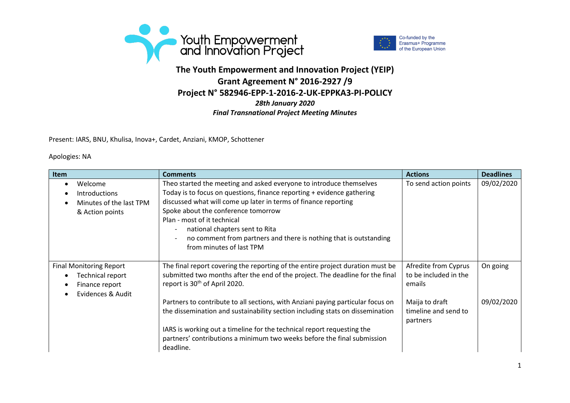



## **The Youth Empowerment and Innovation Project (YEIP) Grant Agreement N° 2016-2927 /9 Project N° 582946-EPP-1-2016-2-UK-EPPKA3-PI-POLICY** *28th January 2020 Final Transnational Project Meeting Minutes*

Present: IARS, BNU, Khulisa, Inova+, Cardet, Anziani, KMOP, Schottener

## Apologies: NA

| Item                                                                                      | <b>Comments</b>                                                                                                                                                                                                                                                                                                                                                                                                           | <b>Actions</b>                                          | <b>Deadlines</b> |
|-------------------------------------------------------------------------------------------|---------------------------------------------------------------------------------------------------------------------------------------------------------------------------------------------------------------------------------------------------------------------------------------------------------------------------------------------------------------------------------------------------------------------------|---------------------------------------------------------|------------------|
| Welcome<br><b>Introductions</b><br>Minutes of the last TPM<br>& Action points             | Theo started the meeting and asked everyone to introduce themselves<br>Today is to focus on questions, finance reporting + evidence gathering<br>discussed what will come up later in terms of finance reporting<br>Spoke about the conference tomorrow<br>Plan - most of it technical<br>national chapters sent to Rita<br>no comment from partners and there is nothing that is outstanding<br>from minutes of last TPM | To send action points                                   | 09/02/2020       |
| <b>Final Monitoring Report</b><br>Technical report<br>Finance report<br>Evidences & Audit | The final report covering the reporting of the entire project duration must be<br>submitted two months after the end of the project. The deadline for the final<br>report is 30 <sup>th</sup> of April 2020.                                                                                                                                                                                                              | Afredite from Cyprus<br>to be included in the<br>emails | On going         |
|                                                                                           | Partners to contribute to all sections, with Anziani paying particular focus on<br>the dissemination and sustainability section including stats on dissemination<br>IARS is working out a timeline for the technical report requesting the<br>partners' contributions a minimum two weeks before the final submission<br>deadline.                                                                                        | Maija to draft<br>timeline and send to<br>partners      | 09/02/2020       |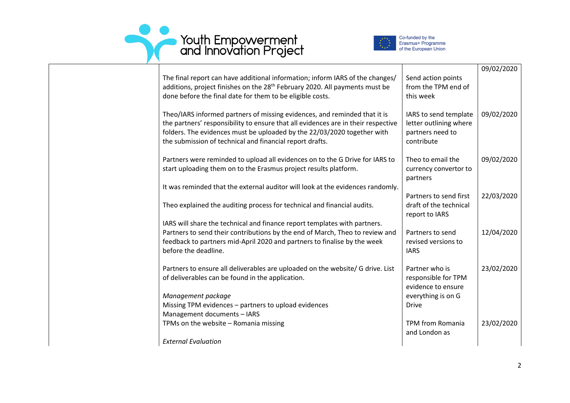



| The final report can have additional information; inform IARS of the changes/<br>additions, project finishes on the 28 <sup>th</sup> February 2020. All payments must be<br>done before the final date for them to be eligible costs.                                                                 | Send action points<br>from the TPM end of<br>this week                            | 09/02/2020 |
|-------------------------------------------------------------------------------------------------------------------------------------------------------------------------------------------------------------------------------------------------------------------------------------------------------|-----------------------------------------------------------------------------------|------------|
| Theo/IARS informed partners of missing evidences, and reminded that it is<br>the partners' responsibility to ensure that all evidences are in their respective<br>folders. The evidences must be uploaded by the 22/03/2020 together with<br>the submission of technical and financial report drafts. | IARS to send template<br>letter outlining where<br>partners need to<br>contribute | 09/02/2020 |
| Partners were reminded to upload all evidences on to the G Drive for IARS to<br>start uploading them on to the Erasmus project results platform.                                                                                                                                                      | Theo to email the<br>currency convertor to<br>partners                            | 09/02/2020 |
| It was reminded that the external auditor will look at the evidences randomly.                                                                                                                                                                                                                        |                                                                                   |            |
| Theo explained the auditing process for technical and financial audits.                                                                                                                                                                                                                               | Partners to send first<br>draft of the technical<br>report to IARS                | 22/03/2020 |
| IARS will share the technical and finance report templates with partners.                                                                                                                                                                                                                             |                                                                                   |            |
| Partners to send their contributions by the end of March, Theo to review and<br>feedback to partners mid-April 2020 and partners to finalise by the week<br>before the deadline.                                                                                                                      | Partners to send<br>revised versions to<br><b>IARS</b>                            | 12/04/2020 |
| Partners to ensure all deliverables are uploaded on the website/ G drive. List<br>of deliverables can be found in the application.                                                                                                                                                                    | Partner who is<br>responsible for TPM<br>evidence to ensure                       | 23/02/2020 |
| Management package                                                                                                                                                                                                                                                                                    | everything is on G                                                                |            |
| Missing TPM evidences - partners to upload evidences                                                                                                                                                                                                                                                  | <b>Drive</b>                                                                      |            |
| Management documents - IARS                                                                                                                                                                                                                                                                           |                                                                                   |            |
| TPMs on the website - Romania missing                                                                                                                                                                                                                                                                 | <b>TPM from Romania</b><br>and London as                                          | 23/02/2020 |
| <b>External Evaluation</b>                                                                                                                                                                                                                                                                            |                                                                                   |            |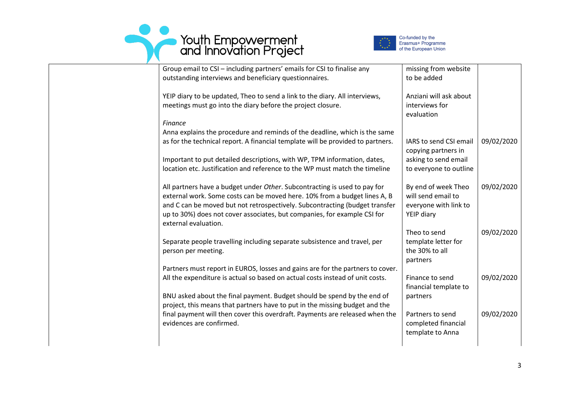



| Group email to CSI - including partners' emails for CSI to finalise any         | missing from website   |            |
|---------------------------------------------------------------------------------|------------------------|------------|
| outstanding interviews and beneficiary questionnaires.                          | to be added            |            |
|                                                                                 |                        |            |
| YEIP diary to be updated, Theo to send a link to the diary. All interviews,     | Anziani will ask about |            |
| meetings must go into the diary before the project closure.                     | interviews for         |            |
|                                                                                 | evaluation             |            |
| <b>Finance</b>                                                                  |                        |            |
| Anna explains the procedure and reminds of the deadline, which is the same      |                        |            |
| as for the technical report. A financial template will be provided to partners. | IARS to send CSI email | 09/02/2020 |
|                                                                                 | copying partners in    |            |
| Important to put detailed descriptions, with WP, TPM information, dates,        | asking to send email   |            |
| location etc. Justification and reference to the WP must match the timeline     | to everyone to outline |            |
|                                                                                 |                        |            |
| All partners have a budget under Other. Subcontracting is used to pay for       | By end of week Theo    | 09/02/2020 |
| external work. Some costs can be moved here. 10% from a budget lines A, B       | will send email to     |            |
| and C can be moved but not retrospectively. Subcontracting (budget transfer     | everyone with link to  |            |
| up to 30%) does not cover associates, but companies, for example CSI for        | YEIP diary             |            |
| external evaluation.                                                            |                        |            |
|                                                                                 | Theo to send           | 09/02/2020 |
| Separate people travelling including separate subsistence and travel, per       | template letter for    |            |
| person per meeting.                                                             | the 30% to all         |            |
|                                                                                 | partners               |            |
| Partners must report in EUROS, losses and gains are for the partners to cover.  |                        |            |
| All the expenditure is actual so based on actual costs instead of unit costs.   | Finance to send        | 09/02/2020 |
|                                                                                 | financial template to  |            |
| BNU asked about the final payment. Budget should be spend by the end of         | partners               |            |
| project, this means that partners have to put in the missing budget and the     |                        |            |
| final payment will then cover this overdraft. Payments are released when the    | Partners to send       | 09/02/2020 |
| evidences are confirmed.                                                        | completed financial    |            |
|                                                                                 | template to Anna       |            |
|                                                                                 |                        |            |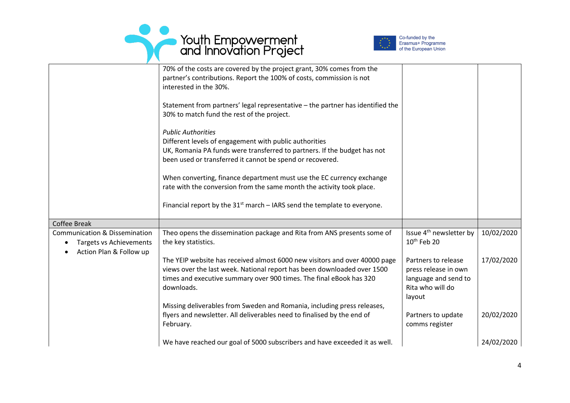



|                                          | 70% of the costs are covered by the project grant, 30% comes from the<br>partner's contributions. Report the 100% of costs, commission is not |                                     |            |
|------------------------------------------|-----------------------------------------------------------------------------------------------------------------------------------------------|-------------------------------------|------------|
|                                          | interested in the 30%.                                                                                                                        |                                     |            |
|                                          |                                                                                                                                               |                                     |            |
|                                          | Statement from partners' legal representative - the partner has identified the                                                                |                                     |            |
|                                          | 30% to match fund the rest of the project.                                                                                                    |                                     |            |
|                                          | <b>Public Authorities</b>                                                                                                                     |                                     |            |
|                                          | Different levels of engagement with public authorities                                                                                        |                                     |            |
|                                          | UK, Romania PA funds were transferred to partners. If the budget has not                                                                      |                                     |            |
|                                          | been used or transferred it cannot be spend or recovered.                                                                                     |                                     |            |
|                                          | When converting, finance department must use the EC currency exchange                                                                         |                                     |            |
|                                          | rate with the conversion from the same month the activity took place.                                                                         |                                     |            |
|                                          |                                                                                                                                               |                                     |            |
|                                          | Financial report by the $31st$ march – IARS send the template to everyone.                                                                    |                                     |            |
| <b>Coffee Break</b>                      |                                                                                                                                               |                                     |            |
| <b>Communication &amp; Dissemination</b> | Theo opens the dissemination package and Rita from ANS presents some of                                                                       | Issue 4 <sup>th</sup> newsletter by | 10/02/2020 |
| <b>Targets vs Achievements</b>           | the key statistics.                                                                                                                           | 10 <sup>th</sup> Feb 20             |            |
| Action Plan & Follow up                  |                                                                                                                                               |                                     |            |
|                                          | The YEIP website has received almost 6000 new visitors and over 40000 page                                                                    | Partners to release                 | 17/02/2020 |
|                                          | views over the last week. National report has been downloaded over 1500                                                                       | press release in own                |            |
|                                          | times and executive summary over 900 times. The final eBook has 320                                                                           | language and send to                |            |
|                                          | downloads.                                                                                                                                    | Rita who will do<br>layout          |            |
|                                          | Missing deliverables from Sweden and Romania, including press releases,                                                                       |                                     |            |
|                                          | flyers and newsletter. All deliverables need to finalised by the end of                                                                       | Partners to update                  | 20/02/2020 |
|                                          | February.                                                                                                                                     | comms register                      |            |
|                                          |                                                                                                                                               |                                     |            |
|                                          | We have reached our goal of 5000 subscribers and have exceeded it as well.                                                                    |                                     | 24/02/2020 |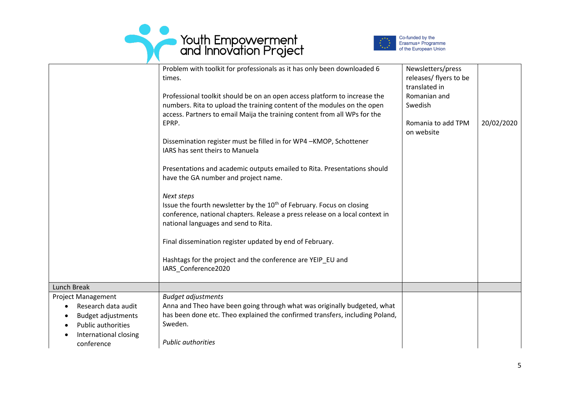



|                                                                                                                                                   | Problem with toolkit for professionals as it has only been downloaded 6<br>times.                                                                                                                                                 | Newsletters/press<br>releases/ flyers to be<br>translated in |            |
|---------------------------------------------------------------------------------------------------------------------------------------------------|-----------------------------------------------------------------------------------------------------------------------------------------------------------------------------------------------------------------------------------|--------------------------------------------------------------|------------|
|                                                                                                                                                   | Professional toolkit should be on an open access platform to increase the<br>numbers. Rita to upload the training content of the modules on the open<br>access. Partners to email Maija the training content from all WPs for the | Romanian and<br>Swedish                                      |            |
|                                                                                                                                                   | EPRP.                                                                                                                                                                                                                             | Romania to add TPM<br>on website                             | 20/02/2020 |
|                                                                                                                                                   | Dissemination register must be filled in for WP4-KMOP, Schottener<br>IARS has sent theirs to Manuela                                                                                                                              |                                                              |            |
|                                                                                                                                                   | Presentations and academic outputs emailed to Rita. Presentations should<br>have the GA number and project name.                                                                                                                  |                                                              |            |
|                                                                                                                                                   | Next steps<br>Issue the fourth newsletter by the 10 <sup>th</sup> of February. Focus on closing<br>conference, national chapters. Release a press release on a local context in<br>national languages and send to Rita.           |                                                              |            |
|                                                                                                                                                   | Final dissemination register updated by end of February.                                                                                                                                                                          |                                                              |            |
|                                                                                                                                                   | Hashtags for the project and the conference are YEIP_EU and<br>IARS Conference2020                                                                                                                                                |                                                              |            |
| Lunch Break                                                                                                                                       |                                                                                                                                                                                                                                   |                                                              |            |
| <b>Project Management</b><br>Research data audit<br>$\bullet$<br><b>Budget adjustments</b><br>$\bullet$<br><b>Public authorities</b><br>$\bullet$ | <b>Budget adjustments</b><br>Anna and Theo have been going through what was originally budgeted, what<br>has been done etc. Theo explained the confirmed transfers, including Poland,<br>Sweden.                                  |                                                              |            |
| International closing<br>conference                                                                                                               | <b>Public authorities</b>                                                                                                                                                                                                         |                                                              |            |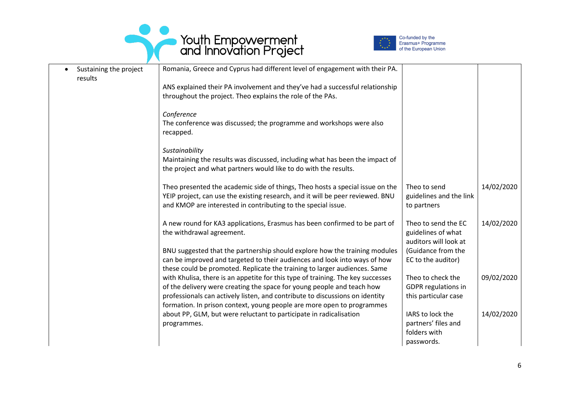



| Sustaining the project<br>results | Romania, Greece and Cyprus had different level of engagement with their PA.     |                            |            |
|-----------------------------------|---------------------------------------------------------------------------------|----------------------------|------------|
|                                   | ANS explained their PA involvement and they've had a successful relationship    |                            |            |
|                                   | throughout the project. Theo explains the role of the PAs.                      |                            |            |
|                                   |                                                                                 |                            |            |
|                                   | Conference                                                                      |                            |            |
|                                   | The conference was discussed; the programme and workshops were also             |                            |            |
|                                   | recapped.                                                                       |                            |            |
|                                   |                                                                                 |                            |            |
|                                   | Sustainability                                                                  |                            |            |
|                                   | Maintaining the results was discussed, including what has been the impact of    |                            |            |
|                                   | the project and what partners would like to do with the results.                |                            |            |
|                                   |                                                                                 |                            |            |
|                                   | Theo presented the academic side of things, Theo hosts a special issue on the   | Theo to send               | 14/02/2020 |
|                                   | YEIP project, can use the existing research, and it will be peer reviewed. BNU  | guidelines and the link    |            |
|                                   | and KMOP are interested in contributing to the special issue.                   | to partners                |            |
|                                   |                                                                                 |                            |            |
|                                   | A new round for KA3 applications, Erasmus has been confirmed to be part of      | Theo to send the EC        | 14/02/2020 |
|                                   | the withdrawal agreement.                                                       | guidelines of what         |            |
|                                   |                                                                                 | auditors will look at      |            |
|                                   | BNU suggested that the partnership should explore how the training modules      | (Guidance from the         |            |
|                                   | can be improved and targeted to their audiences and look into ways of how       | EC to the auditor)         |            |
|                                   | these could be promoted. Replicate the training to larger audiences. Same       |                            |            |
|                                   | with Khulisa, there is an appetite for this type of training. The key successes | Theo to check the          | 09/02/2020 |
|                                   | of the delivery were creating the space for young people and teach how          | <b>GDPR</b> regulations in |            |
|                                   | professionals can actively listen, and contribute to discussions on identity    | this particular case       |            |
|                                   | formation. In prison context, young people are more open to programmes          |                            |            |
|                                   | about PP, GLM, but were reluctant to participate in radicalisation              | IARS to lock the           | 14/02/2020 |
|                                   | programmes.                                                                     | partners' files and        |            |
|                                   |                                                                                 | folders with               |            |
|                                   |                                                                                 | passwords.                 |            |